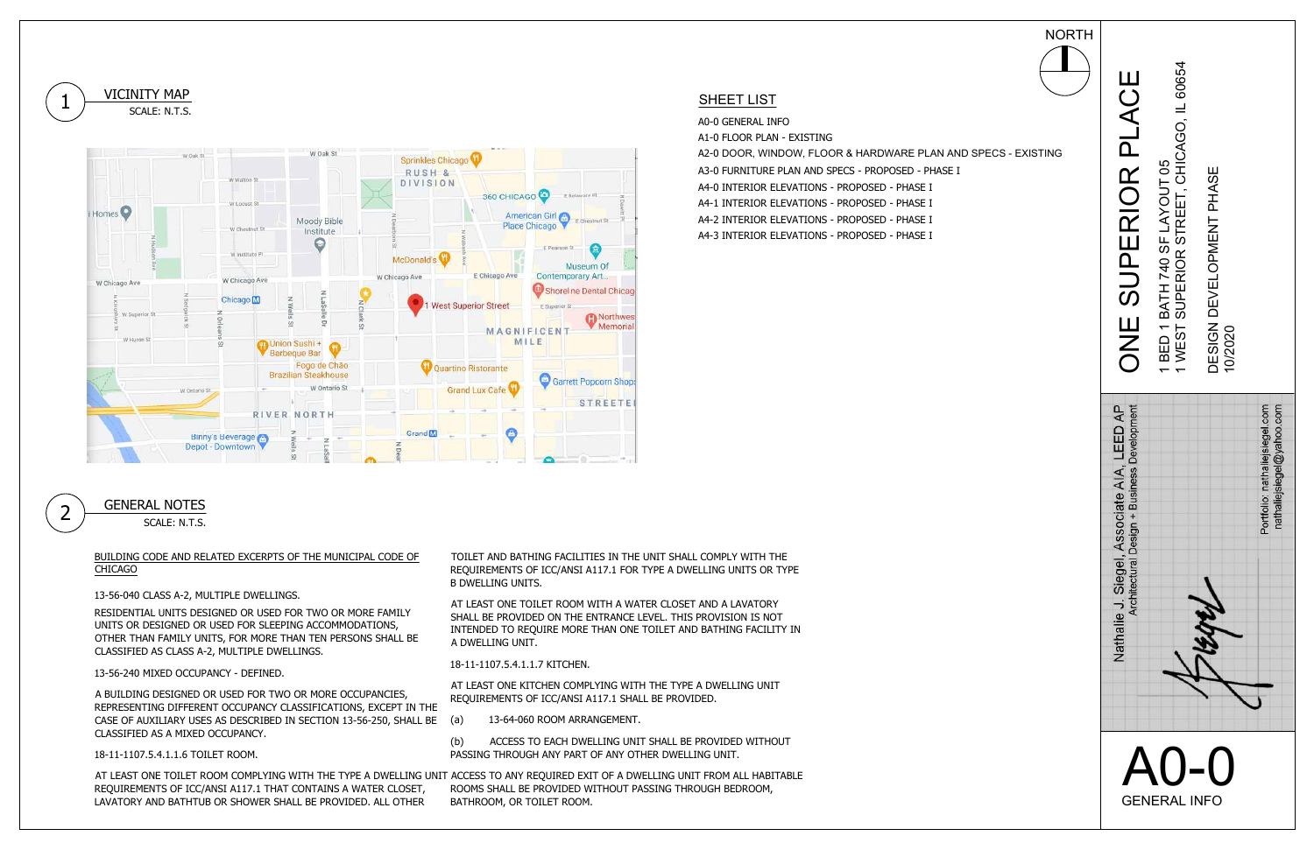18-11-1107.5.4.1.1.6 TOILET ROOM.

CLASSIFIED AS A MIXED OCCUPANCY.<br>18-11-1107.5.4.1.1.6 TOILET ROOM.<br>AT LEAST ONE TOILET ROOM COMPLYING WITH THE TYPE A DWELLING UNIT AT LEAST ONE TOILET ROOM COMPLYING WITH THE TYPE A DWELLING<br>REQUIREMENTS OF ICC/ANSI A117.1 THAT CONTAINS A WATER CLOSET,







13-56-240 MIXED OCCUPANCY - DEFINED.<br>A BUILDING DESIGNED OR USED FOR TWO OR MORE OCCUPANCIES,<br>REPRESENTING DIFFERENT OCCUPANCY CLASSIFICATIONS, EXCEPT IN THE CASE OF AUXILIARY USES AS DESCRIBED IN SECTION 13-56-250, SHALL BE<br>CLASSIFIED AS A MIXED OCCUPANCY.

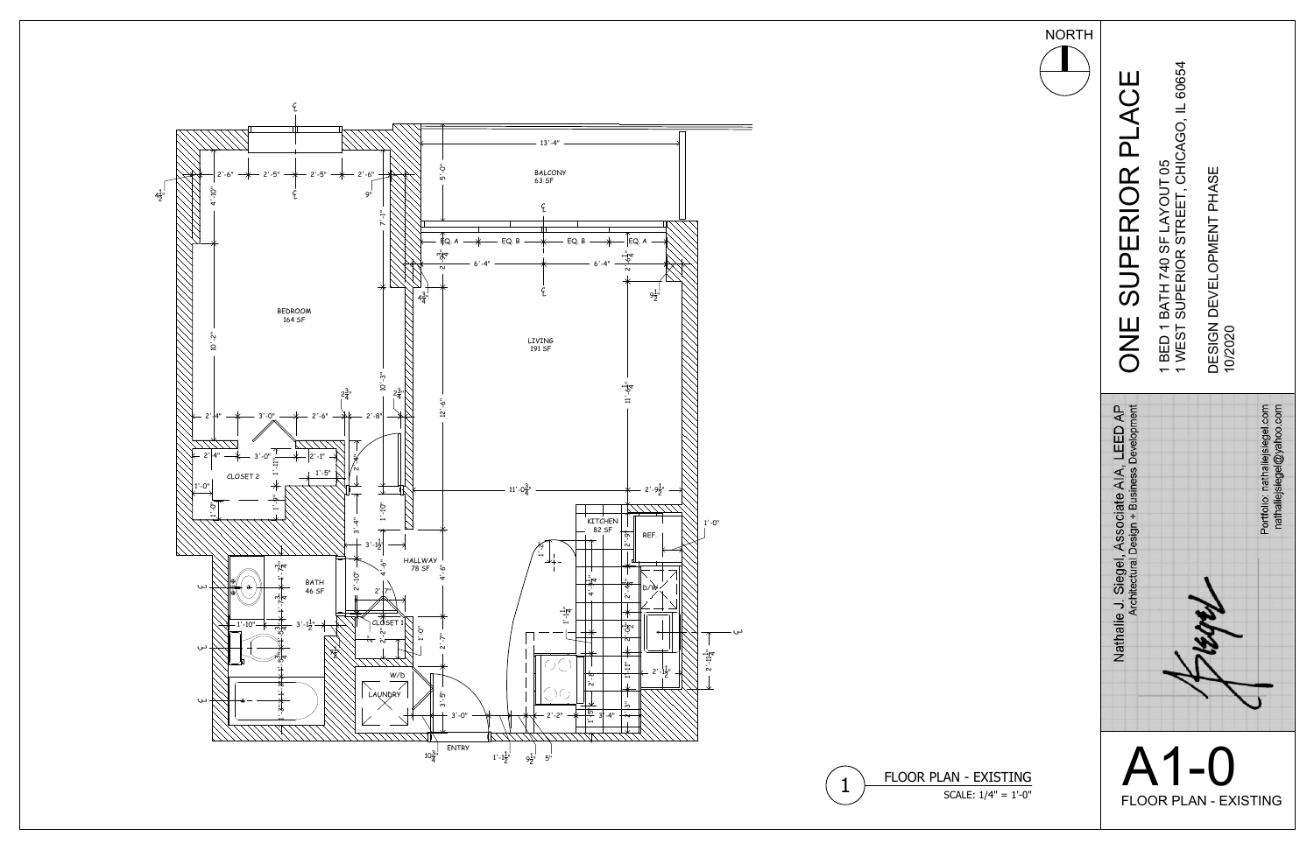

FLOOR PLAN - EXISTING<br>
SCALE:  $1/4" = 1'-0"$ 





1

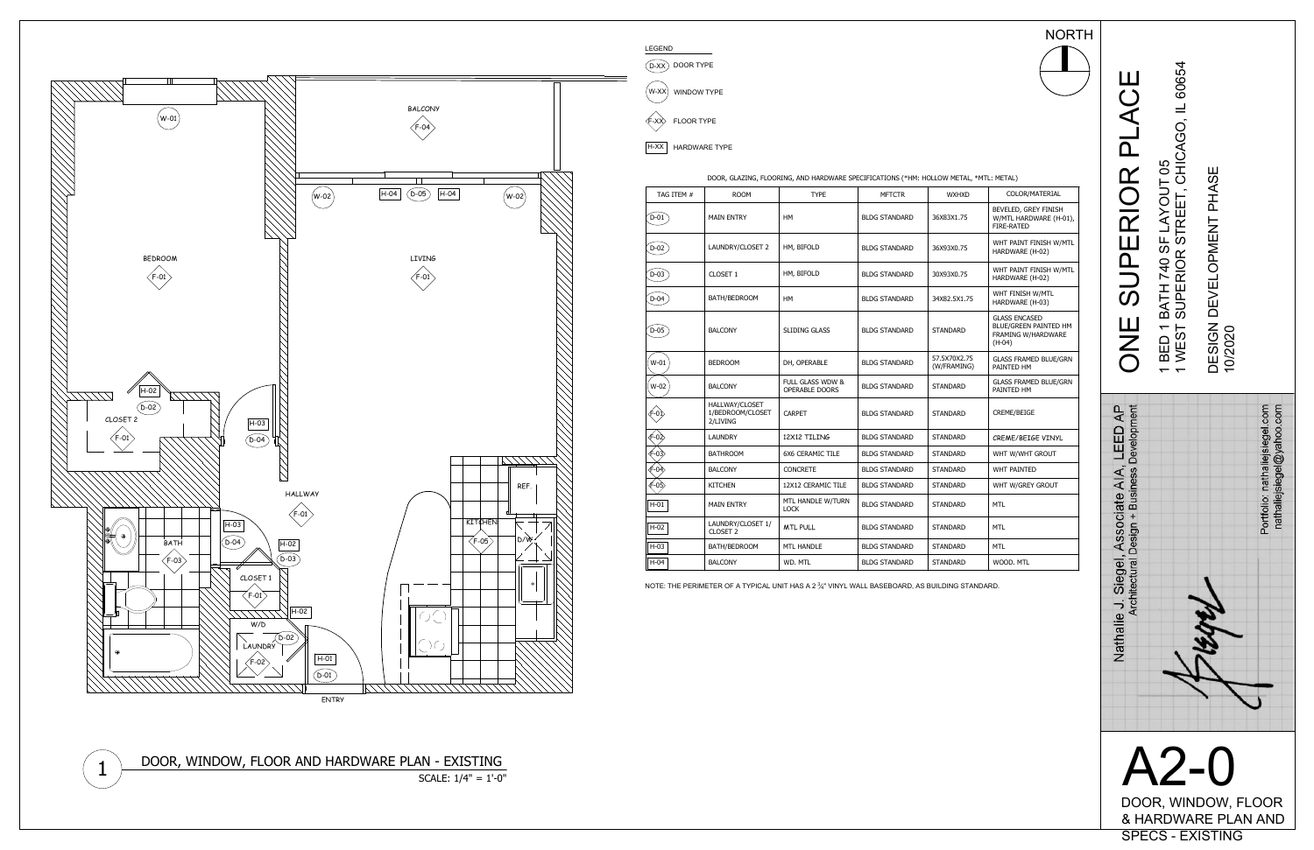## ONE SUPERIOR PLACE 1 BED 1 BATH 740 SF LAYOUT 05 1 WEST SUPERIOR STREET, CHICAGO, IL 60654 DESIGN DEVELOPMENT PHASE 10/2020





|  |  | DOOR, GLAZING, FLOORING, AND HARDWARE SPECIFICATIONS (*HM: HOLLOW ME |  |  |
|--|--|----------------------------------------------------------------------|--|--|

| TAG ITEM # | <b>ROOM</b>                                    | <b>TYPE</b>                                          | <b>MFTCTR</b>        | <b>WXHXD</b>                | COLOR/MATERIAL                                                                  |
|------------|------------------------------------------------|------------------------------------------------------|----------------------|-----------------------------|---------------------------------------------------------------------------------|
| $D-01$     | <b>MAIN ENTRY</b>                              | <b>HM</b>                                            | <b>BLDG STANDARD</b> | 36X83X1.75                  | BEVELED, GREY FINISH<br>W/MTL HARDWARE (H-01),<br><b>FIRE-RATED</b>             |
| $D-02$     | LAUNDRY/CLOSET 2                               | HM, BIFOLD                                           | <b>BLDG STANDARD</b> | 36X93X0.75                  | WHT PAINT FINISH W/MTL<br>HARDWARE (H-02)                                       |
| $D-03$     | CLOSET 1                                       | HM, BIFOLD                                           | <b>BLDG STANDARD</b> | 30X93X0.75                  | WHT PAINT FINISH W/MTL<br>HARDWARE (H-02)                                       |
| $D-04$     | BATH/BEDROOM                                   | HМ                                                   | <b>BLDG STANDARD</b> | 34X82.5X1.75                | WHT FINISH W/MTL<br>HARDWARE (H-03)                                             |
| $D-05$     | <b>BALCONY</b>                                 | <b>SLIDING GLASS</b>                                 | <b>BLDG STANDARD</b> | <b>STANDARD</b>             | <b>GLASS ENCASED</b><br>BLUE/GREEN PAINTED HM<br>FRAMING W/HARDWARE<br>$(H-04)$ |
| $W-01$     | <b>BEDROOM</b>                                 | DH, OPERABLE                                         | <b>BLDG STANDARD</b> | 57.5X70X2.75<br>(W/FRAMING) | <b>GLASS FRAMED BLUE/GRN</b><br>PAINTED HM                                      |
| W-02       | <b>BALCONY</b>                                 | <b>FULL GLASS WDW &amp;</b><br><b>OPERABLE DOORS</b> | <b>BLDG STANDARD</b> | <b>STANDARD</b>             | <b>GLASS FRAMED BLUE/GRN</b><br>PAINTED HM                                      |
|            | HALLWAY/CLOSET<br>1/BEDROOM/CLOSET<br>2/LIVING | <b>CARPET</b>                                        | <b>BLDG STANDARD</b> | <b>STANDARD</b>             | CREME/BEIGE                                                                     |
| -02        | <b>LAUNDRY</b>                                 | 12X12 TILING                                         | <b>BLDG STANDARD</b> | <b>STANDARD</b>             | CREME/BEIGE VINYL                                                               |
| ⊄-03>      | <b>BATHROOM</b>                                | <b>6X6 CERAMIC TILE</b>                              | <b>BLDG STANDARD</b> | <b>STANDARD</b>             | WHT W/WHT GROUT                                                                 |
| ⁄Բ-04ิ>    | <b>BALCONY</b>                                 | <b>CONCRETE</b>                                      | <b>BLDG STANDARD</b> | <b>STANDARD</b>             | WHT PAINTED                                                                     |
| ∉-০ই∕      | <b>KITCHEN</b>                                 | 12X12 CERAMIC TILE                                   | <b>BLDG STANDARD</b> | STANDARD                    | WHT W/GREY GROUT                                                                |
| $H-01$     | <b>MAIN ENTRY</b>                              | MTL HANDLE W/TURN<br><b>LOCK</b>                     | <b>BLDG STANDARD</b> | <b>STANDARD</b>             | <b>MTL</b>                                                                      |
| $H-02$     | LAUNDRY/CLOSET 1/<br>CLOSET 2                  | <b>MTL PULL</b>                                      | <b>BLDG STANDARD</b> | <b>STANDARD</b>             | <b>MTL</b>                                                                      |
| $H-03$     | BATH/BEDROOM                                   | <b>MTL HANDLE</b>                                    | <b>BLDG STANDARD</b> | <b>STANDARD</b>             | <b>MTL</b>                                                                      |
| $H-04$     | <b>BALCONY</b>                                 | WD. MTL                                              | <b>BLDG STANDARD</b> | <b>STANDARD</b>             | WOOD, MTL                                                                       |

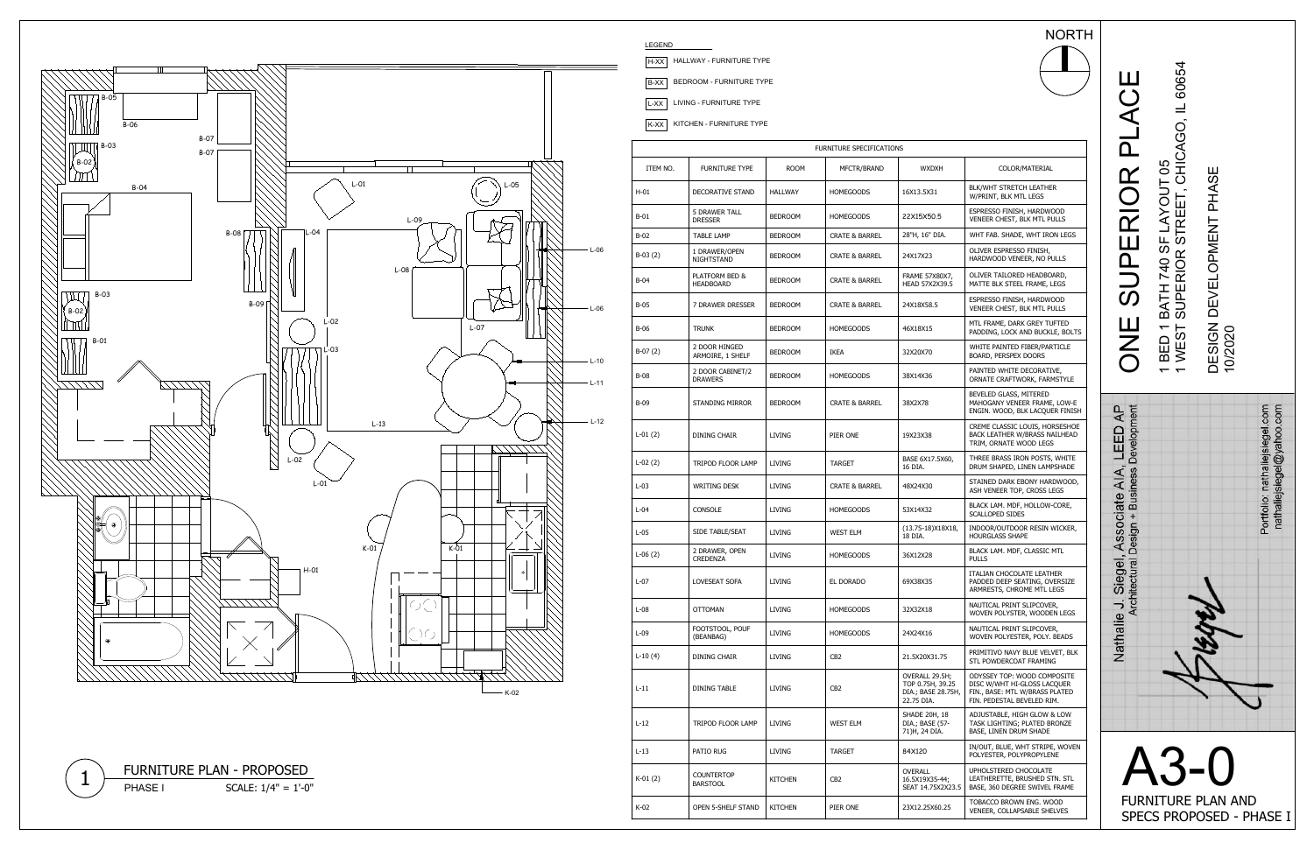# ONE SUPERIOR PLACE 1 BED 1 BATH 740 SF LAYOUT 05

1 WEST SUPERIOR STREET, CHICAGO, IL 60654

## DESIGN DEVELOPMENT PHASE 10/2020



FURNITURE PLAN AND



|             |                                        |                | FURNITURE SPECIFICATIONS  |                                                                        |
|-------------|----------------------------------------|----------------|---------------------------|------------------------------------------------------------------------|
| ITEM NO.    | FURNITURE TYPE                         | <b>ROOM</b>    | MFCTR/BRAND               | <b>WXDXH</b>                                                           |
| $H-01$      | <b>DECORATIVE STAND</b>                | HALLWAY        | <b>HOMEGOODS</b>          | 16X13.5X31                                                             |
| $B-01$      | <b>5 DRAWER TALL</b><br><b>DRESSER</b> | <b>BEDROOM</b> | <b>HOMEGOODS</b>          | 22X15X50.5                                                             |
| $B-02$      | <b>TABLE LAMP</b>                      | <b>BEDROOM</b> | <b>CRATE &amp; BARREL</b> | 28"H, 16" DIA.                                                         |
| $B-03(2)$   | 1 DRAWER/OPEN<br>NIGHTSTAND            | <b>BEDROOM</b> | <b>CRATE &amp; BARREL</b> | 24X17X23                                                               |
| $B-04$      | PLATFORM BED &<br><b>HEADBOARD</b>     | <b>BEDROOM</b> | <b>CRATE &amp; BARREL</b> | FRAME 57X80X7,<br>HEAD 57X2X39.5                                       |
| B-05        | 7 DRAWER DRESSER                       | <b>BEDROOM</b> | <b>CRATE &amp; BARREL</b> | 24X18X58.5                                                             |
| B-06        | <b>TRUNK</b>                           | <b>BEDROOM</b> | <b>HOMEGOODS</b>          | 46X18X15                                                               |
| $B-07(2)$   | 2 DOOR HINGED<br>ARMOIRE, 1 SHELF      | <b>BEDROOM</b> | <b>IKEA</b>               | 32X20X70                                                               |
| <b>B-08</b> | 2 DOOR CABINET/2<br><b>DRAWERS</b>     | <b>BEDROOM</b> | <b>HOMEGOODS</b>          | 38X14X36                                                               |
| B-09        | <b>STANDING MIRROR</b>                 | <b>BEDROOM</b> | <b>CRATE &amp; BARREL</b> | 38X2X78                                                                |
| $L-01(2)$   | DINING CHAIR                           | LIVING         | PIER ONE                  | 19X23X38                                                               |
| $L-02(2)$   | TRIPOD FLOOR LAMP                      | LIVING         | <b>TARGET</b>             | BASE 6X17.5X60,<br>16 DIA.                                             |
| $L-03$      | <b>WRITING DESK</b>                    | <b>LIVING</b>  | <b>CRATE &amp; BARREL</b> | 48X24X30                                                               |
| $L-04$      | <b>CONSOLE</b>                         | LIVING         | <b>HOMEGOODS</b>          | 53X14X32                                                               |
| $L-05$      | SIDE TABLE/SEAT                        | <b>LIVING</b>  | <b>WEST ELM</b>           | (13.75-18)X18X18,<br>18 DIA.                                           |
| $L-06(2)$   | 2 DRAWER, OPEN<br><b>CREDENZA</b>      | LIVING         | <b>HOMEGOODS</b>          | 36X12X28                                                               |
| $L-07$      | <b>LOVESEAT SOFA</b>                   | LIVING         | EL DORADO                 | 69X38X35                                                               |
| $L-08$      | <b>OTTOMAN</b>                         | <b>LIVING</b>  | <b>HOMEGOODS</b>          | 32X32X18                                                               |
| $L-09$      | FOOTSTOOL, POUF<br>(BEANBAG)           | LIVING         | <b>HOMEGOODS</b>          | 24X24X16                                                               |
| $L-10(4)$   | DINING CHAIR                           | LIVING         | CB <sub>2</sub>           | 21.5X20X31.75                                                          |
| $L-11$      | DINING TABLE                           | LIVING         | CB2                       | OVERALL 29.5H;<br>TOP 0.75H, 39.25<br>DIA.; BASE 28.75H,<br>22.75 DIA. |
| $L-12$      | TRIPOD FLOOR LAMP                      | LIVING         | WEST ELM                  | SHADE 20H, 18<br>DIA.; BASE (57-<br>71)H, 24 DIA.                      |
| $L-13$      | PATIO RUG                              | LIVING         | <b>TARGET</b>             | 84X120                                                                 |
| $K-01(2)$   | <b>COUNTERTOP</b><br><b>BARSTOOL</b>   | KITCHEN        | CB <sub>2</sub>           | OVERALL<br>16.5X19X35-44;<br>SEAT 14.75X2X23.5                         |
| K-02        | OPEN 5-SHELF STAND                     | <b>KITCHEN</b> | PIER ONE                  | 23X12.25X60.25                                                         |

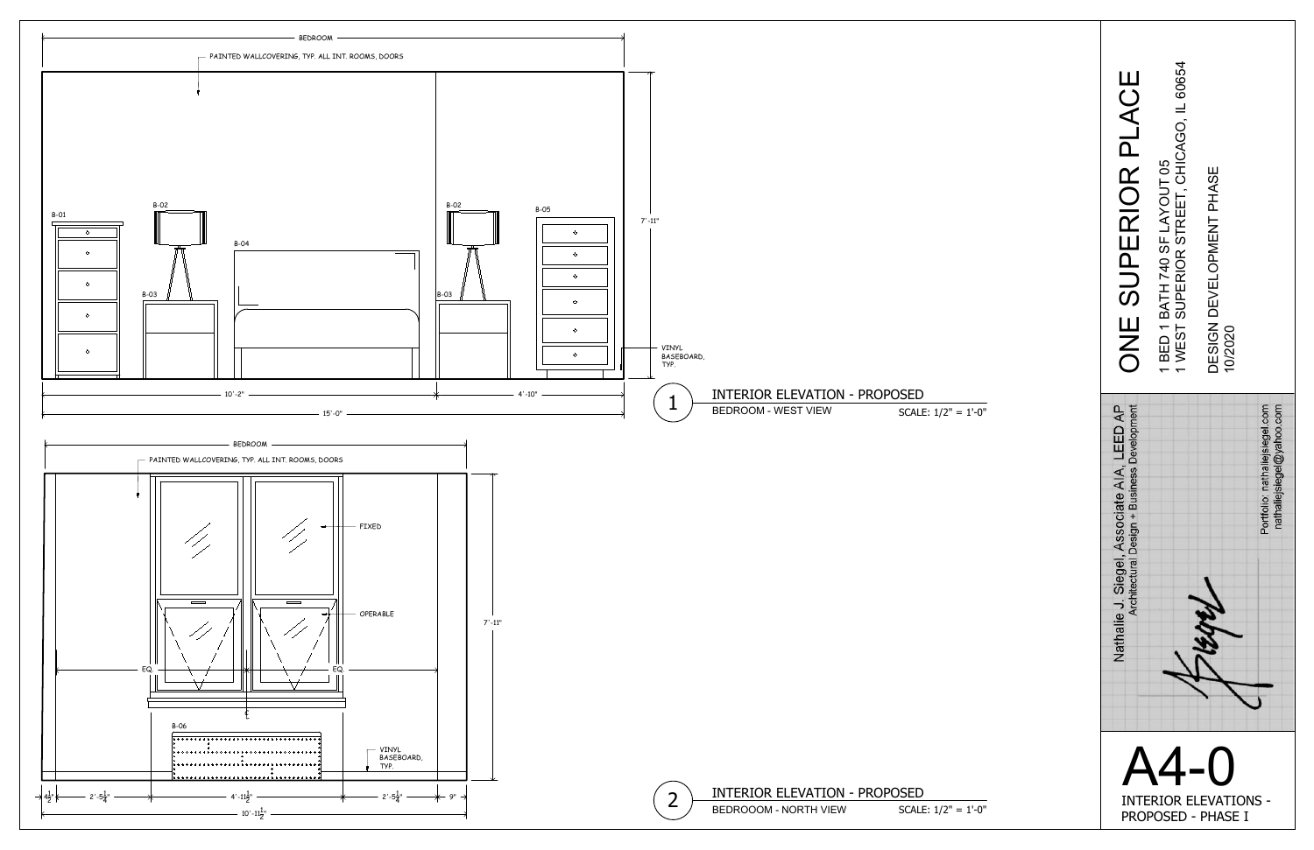

| Nathalie J. Siegel, Associate AIA, LEED AP<br>Architectural Design + Business Development | ONE SUPERIOR PLACE                                                         |
|-------------------------------------------------------------------------------------------|----------------------------------------------------------------------------|
|                                                                                           | 1 WEST SUPERIOR STREET, CHICAGO, IL 60654<br>1 BED 1 BATH 740 SF LAYOUT 05 |
| <b>HAM</b>                                                                                | DESIGN DEVELOPMENT PHASE<br>10/2020                                        |
| Portfolio: nathaliejsiegel.com<br>nathaliejsiegel@yahoo.com                               |                                                                            |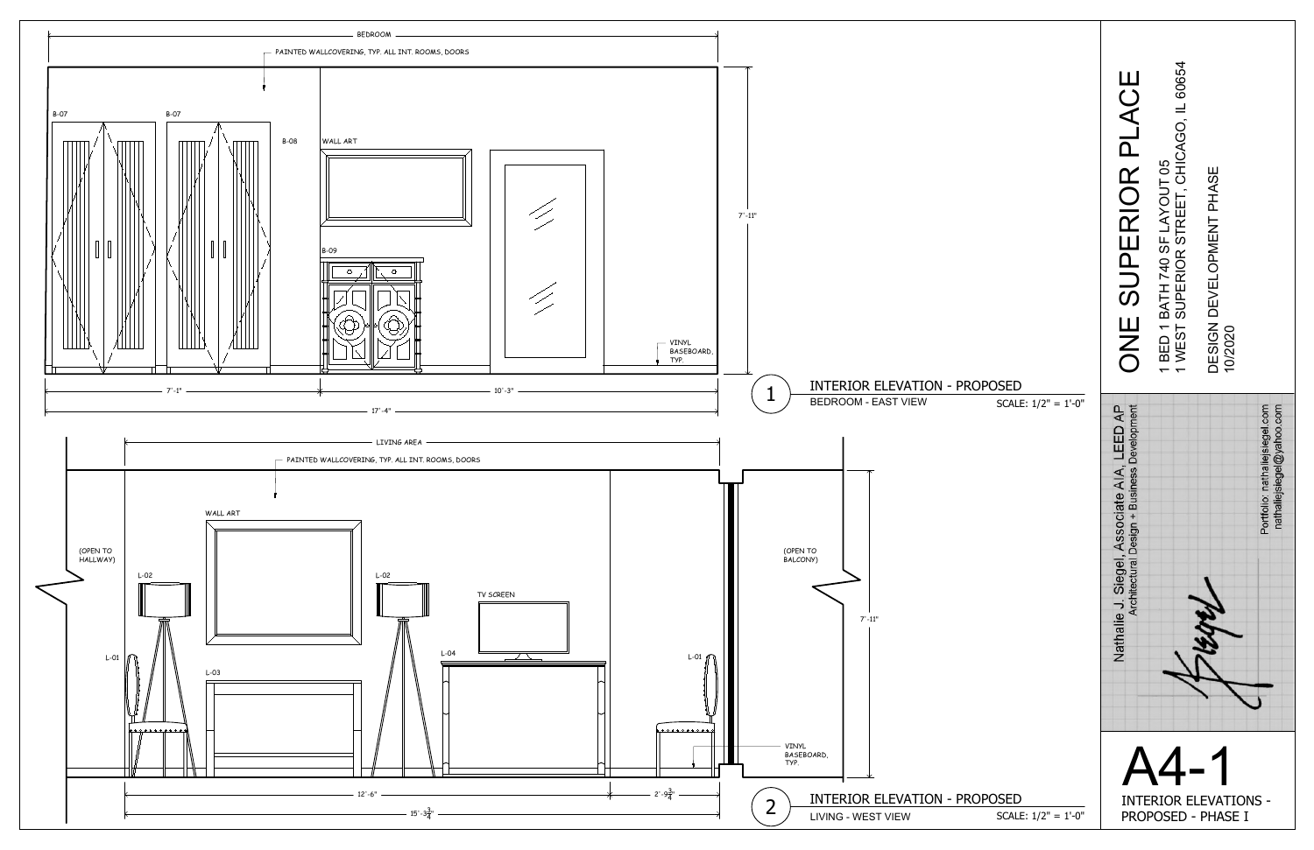

ONE SUPERIOR PLACE 1 BED 1 BATH 740 SF LAYOUT 05 1 WEST SUPERIOR STREET, CHICAGO, IL 60654 DESIGN DEVELOPMENT PHASE 10/2020 A4-1 INTERIOR ELEVATIONS - PROPOSED - PHASE I SCALE: 1/2" = 1'-0" INTERIOR ELEVATION - PROPOSED 1 BEDROOM - EAST VIEW SCALE: 1/2" = 1'-0" INTERIOR ELEVATION - PROPOSED 2 LIVING - WEST VIEW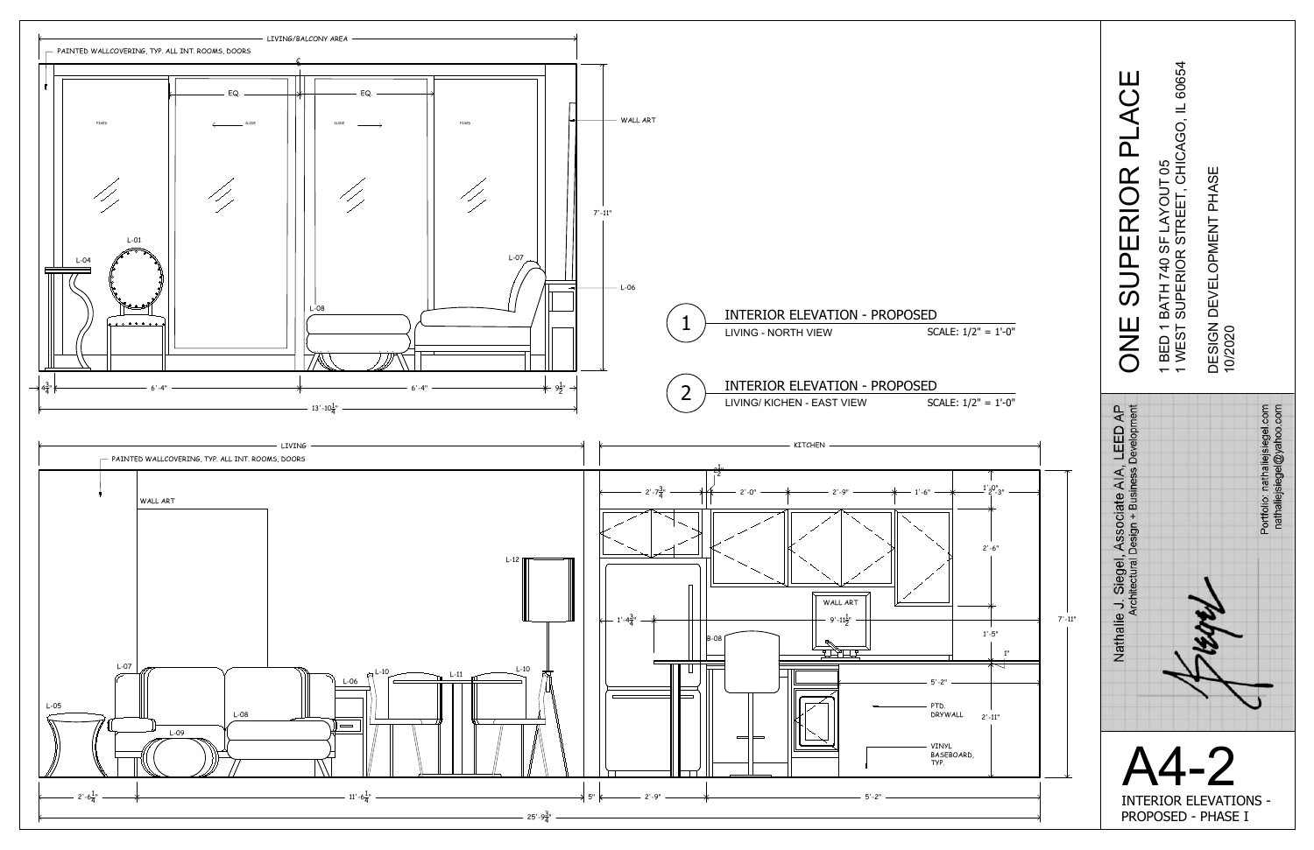

$$
\overline{1/2"} = 1'-0"
$$

$$
1/2" = 1'-0"
$$



A4thps://

INTERIOR ELEVATIONS -